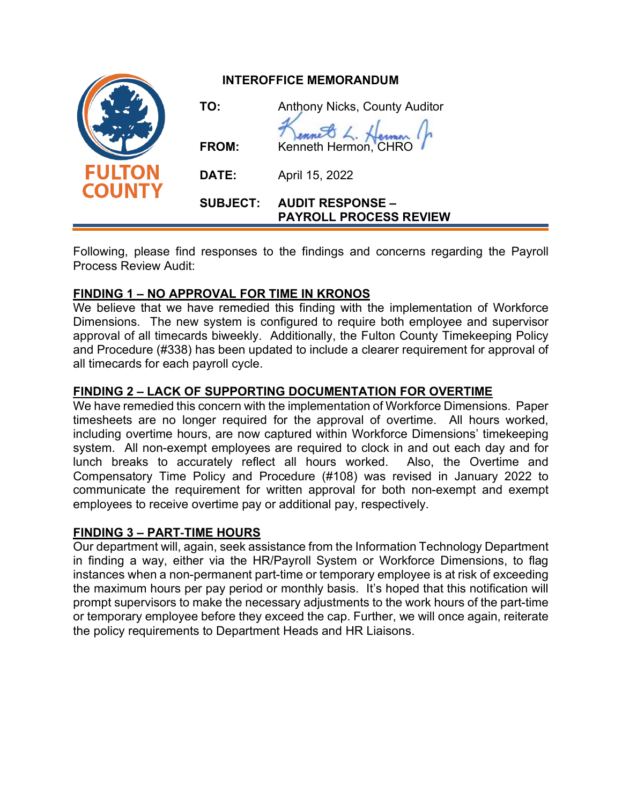|                                | <b>INTEROFFICE MEMORANDUM</b> |                                                          |
|--------------------------------|-------------------------------|----------------------------------------------------------|
| <b>FULTON</b><br><b>COUNTY</b> | TO:                           | <b>Anthony Nicks, County Auditor</b>                     |
|                                | <b>FROM:</b>                  | Kenneth Hermon, CHRO                                     |
|                                | DATE:                         | April 15, 2022                                           |
|                                | <b>SUBJECT:</b>               | <b>AUDIT RESPONSE -</b><br><b>PAYROLL PROCESS REVIEW</b> |

Following, please find responses to the findings and concerns regarding the Payroll Process Review Audit:

# **FINDING 1 – NO APPROVAL FOR TIME IN KRONOS**

We believe that we have remedied this finding with the implementation of Workforce Dimensions. The new system is configured to require both employee and supervisor approval of all timecards biweekly. Additionally, the Fulton County Timekeeping Policy and Procedure (#338) has been updated to include a clearer requirement for approval of all timecards for each payroll cycle.

# **FINDING 2 – LACK OF SUPPORTING DOCUMENTATION FOR OVERTIME**

We have remedied this concern with the implementation of Workforce Dimensions. Paper timesheets are no longer required for the approval of overtime. All hours worked, including overtime hours, are now captured within Workforce Dimensions' timekeeping system. All non-exempt employees are required to clock in and out each day and for lunch breaks to accurately reflect all hours worked. Also, the Overtime and Compensatory Time Policy and Procedure (#108) was revised in January 2022 to communicate the requirement for written approval for both non-exempt and exempt employees to receive overtime pay or additional pay, respectively.

# **FINDING 3 – PART**‐**TIME HOURS**

Our department will, again, seek assistance from the Information Technology Department in finding a way, either via the HR/Payroll System or Workforce Dimensions, to flag instances when a non-permanent part-time or temporary employee is at risk of exceeding the maximum hours per pay period or monthly basis. It's hoped that this notification will prompt supervisors to make the necessary adjustments to the work hours of the part-time or temporary employee before they exceed the cap. Further, we will once again, reiterate the policy requirements to Department Heads and HR Liaisons.